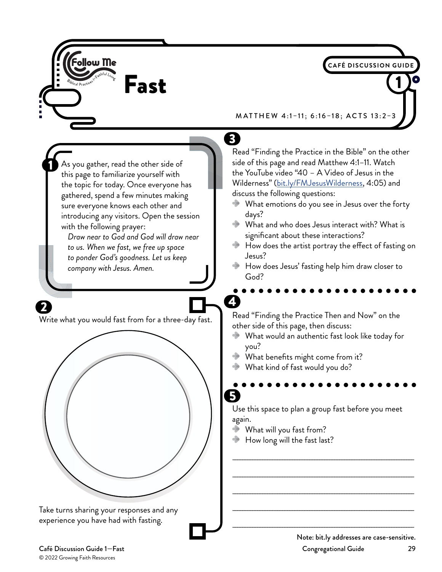

© 2022 Growing Faith Resources

Café Discussion Guide 1—Fast Congregational Guide 29